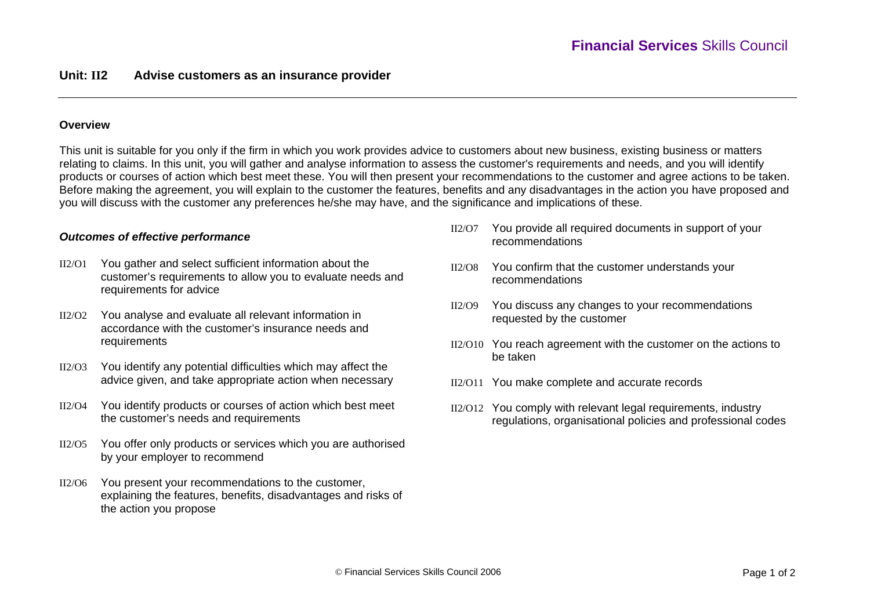# **Overview**

This unit is suitable for you only if the firm in which you work provides advice to customers about new business, existing business or matters relating to claims. In this unit, you will gather and analyse information to assess the customer's requirements and needs, and you will identify products or courses of action which best meet these. You will then present your recommendations to the customer and agree actions to be taken. Before making the agreement, you will explain to the customer the features, benefits and any disadvantages in the action you have proposed and you will discuss with the customer any preferences he/she may have, and the significance and implications of these.

# *Outcomes of effective performance*

- II2/O1 You gather and select sufficient information about the customer's requirements to allow you to evaluate needs and requirements for advice
- $II2/O2$  You analyse and evaluate all relevant information in accordance with the customer's insurance needs and requirements
- $II2/O3$  You identify any potential difficulties which may affect the advice given, and take appropriate action when necessary
- II2/O4 You identify products or courses of action which best meet the customer's needs and requirements
- II2/O5 You offer only products or services which you are authorised by your employer to recommend
- $II2/O6$  You present your recommendations to the customer, explaining the features, benefits, disadvantages and risks of the action you propose
- $II2/O7$  You provide all required documents in support of your recommendations
- II2/O8 You confirm that the customer understands your recommendations
- II2/O9 You discuss any changes to your recommendations requested by the customer
- II2/O10 You reach agreement with the customer on the actions to be taken
- II2/O11 You make complete and accurate records
- II2/O12 You comply with relevant legal requirements, industry regulations, organisational policies and professional codes